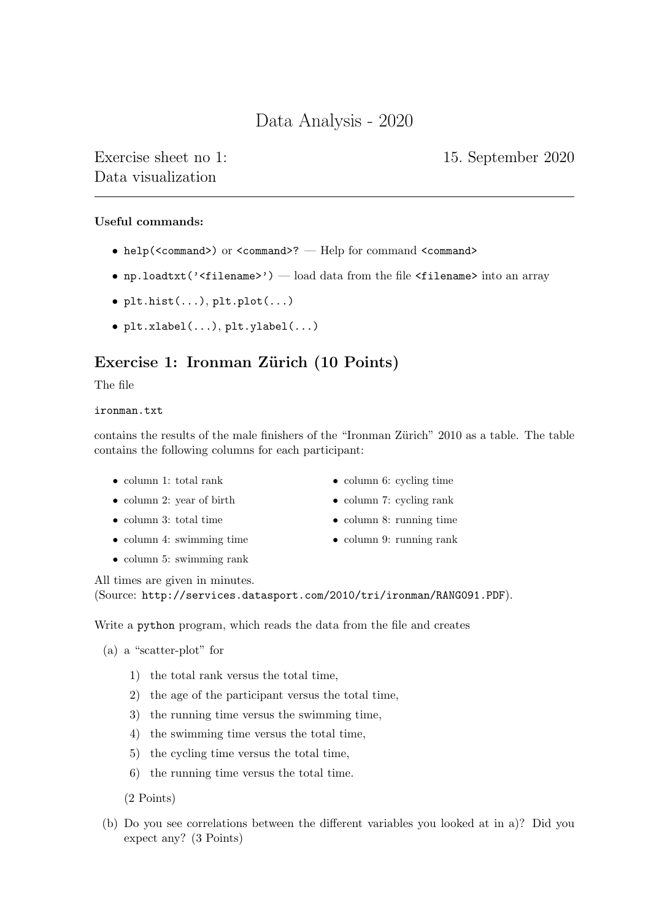# Data Analysis - 2020

Exercise sheet no 1: 15. September 2020 Data visualization

## Useful commands:

- help(<command>) or <command>? Help for command <command>
- np.loadtxt('<filename>') load data from the file <filename> into an array
- plt.hist(...), plt.plot(...)
- plt.xlabel(...), plt.ylabel(...)

## Exercise 1: Ironman Zürich (10 Points)

The file

### ironman.txt

contains the results of the male finishers of the "Ironman Zürich" 2010 as a table. The table contains the following columns for each participant:

- column 1: total rank
- column 2: year of birth
- column 3: total time
- column 4: swimming time
- column 5: swimming rank
- column 6: cycling time
- column 7: cycling rank
- column 8: running time
- column 9: running rank

All times are given in minutes.

(Source: http://services.datasport.com/2010/tri/ironman/RANG091.PDF).

Write a python program, which reads the data from the file and creates

(a) a "scatter-plot" for

- 1) the total rank versus the total time,
- 2) the age of the participant versus the total time,
- 3) the running time versus the swimming time,
- 4) the swimming time versus the total time,
- 5) the cycling time versus the total time,
- 6) the running time versus the total time.

(2 Points)

(b) Do you see correlations between the different variables you looked at in a)? Did you expect any? (3 Points)